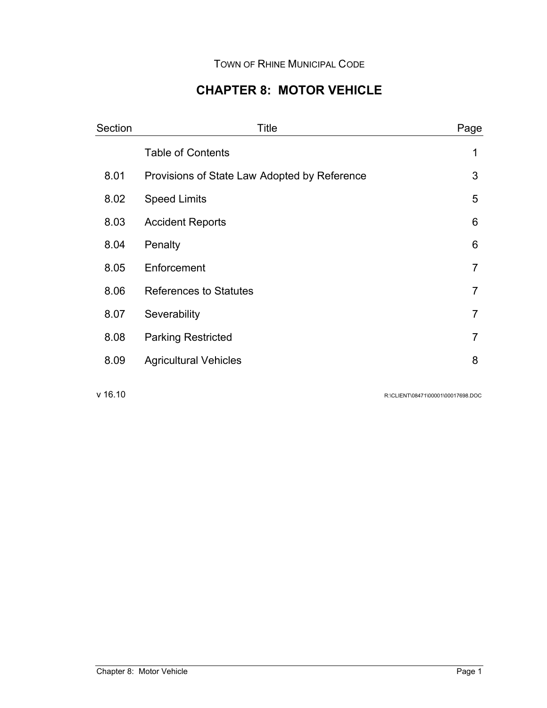TOWN OF RHINE MUNICIPAL CODE

# **CHAPTER 8: MOTOR VEHICLE**

| Section | <b>Title</b>                                 | Page           |
|---------|----------------------------------------------|----------------|
|         | <b>Table of Contents</b>                     | 1              |
| 8.01    | Provisions of State Law Adopted by Reference | 3              |
| 8.02    | <b>Speed Limits</b>                          | 5              |
| 8.03    | <b>Accident Reports</b>                      | 6              |
| 8.04    | Penalty                                      | 6              |
| 8.05    | Enforcement                                  | $\overline{7}$ |
| 8.06    | <b>References to Statutes</b>                | $\overline{7}$ |
| 8.07    | Severability                                 | $\overline{7}$ |
| 8.08    | <b>Parking Restricted</b>                    | $\overline{7}$ |
| 8.09    | <b>Agricultural Vehicles</b>                 | 8              |
|         |                                              |                |

v 16.10 R:\CLIENT\08471\00001\00017698.DOC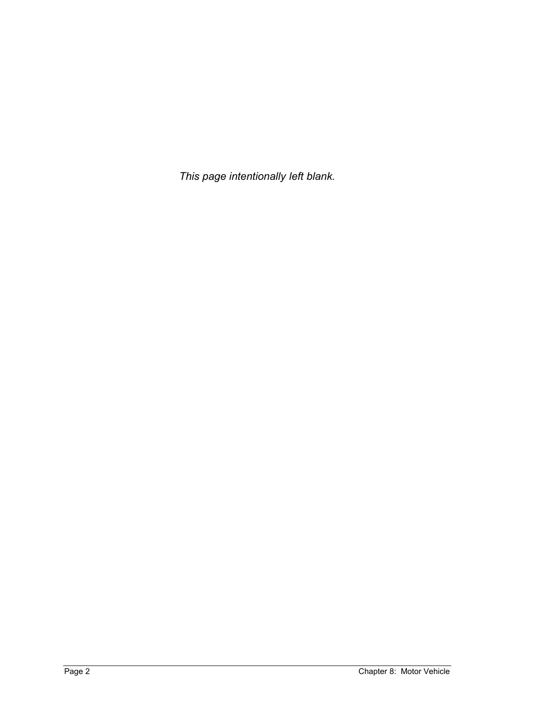*This page intentionally left blank.*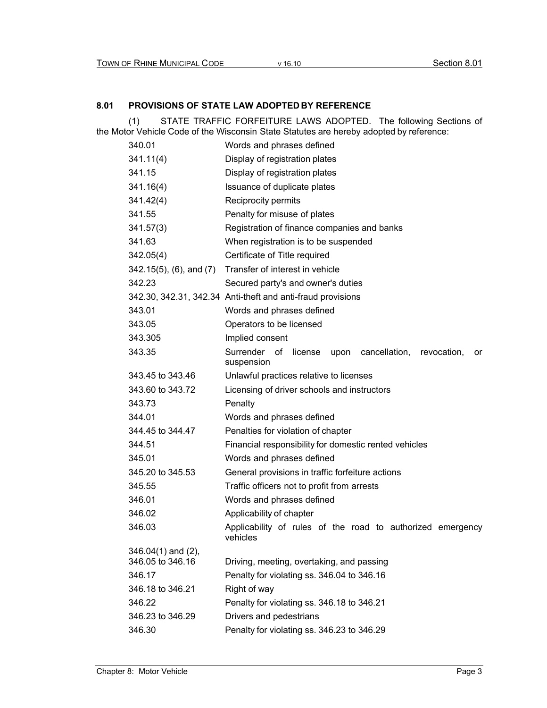### **8.01 PROVISIONS OF STATE LAW ADOPTED BY REFERENCE**

(1) STATE TRAFFIC FORFEITURE LAWS ADOPTED. The following Sections of the Motor Vehicle Code of the Wisconsin State Statutes are hereby adopted by reference:

| 340.01                  | Words and phrases defined                                                           |
|-------------------------|-------------------------------------------------------------------------------------|
| 341.11(4)               | Display of registration plates                                                      |
| 341.15                  | Display of registration plates                                                      |
| 341.16(4)               | Issuance of duplicate plates                                                        |
| 341.42(4)               | Reciprocity permits                                                                 |
| 341.55                  | Penalty for misuse of plates                                                        |
| 341.57(3)               | Registration of finance companies and banks                                         |
| 341.63                  | When registration is to be suspended                                                |
| 342.05(4)               | Certificate of Title required                                                       |
| 342.15(5), (6), and (7) | Transfer of interest in vehicle                                                     |
| 342.23                  | Secured party's and owner's duties                                                  |
|                         | 342.30, 342.31, 342.34 Anti-theft and anti-fraud provisions                         |
| 343.01                  | Words and phrases defined                                                           |
| 343.05                  | Operators to be licensed                                                            |
| 343.305                 | Implied consent                                                                     |
| 343.35                  | Surrender of<br>license<br>cancellation,<br>upon<br>revocation,<br>or<br>suspension |
| 343.45 to 343.46        | Unlawful practices relative to licenses                                             |
| 343.60 to 343.72        | Licensing of driver schools and instructors                                         |
| 343.73                  | Penalty                                                                             |
| 344.01                  | Words and phrases defined                                                           |
| 344.45 to 344.47        | Penalties for violation of chapter                                                  |
| 344.51                  | Financial responsibility for domestic rented vehicles                               |
| 345.01                  | Words and phrases defined                                                           |
| 345.20 to 345.53        | General provisions in traffic forfeiture actions                                    |
| 345.55                  | Traffic officers not to profit from arrests                                         |
| 346.01                  | Words and phrases defined                                                           |
| 346.02                  | Applicability of chapter                                                            |
| 346.03                  | Applicability of rules of the road to authorized emergency<br>vehicles              |
| $346.04(1)$ and $(2)$ , |                                                                                     |
| 346.05 to 346.16        | Driving, meeting, overtaking, and passing                                           |
| 346.17                  | Penalty for violating ss. 346.04 to 346.16                                          |
| 346.18 to 346.21        | Right of way                                                                        |
| 346.22                  | Penalty for violating ss. 346.18 to 346.21                                          |
| 346.23 to 346.29        | Drivers and pedestrians                                                             |
| 346.30                  | Penalty for violating ss. 346.23 to 346.29                                          |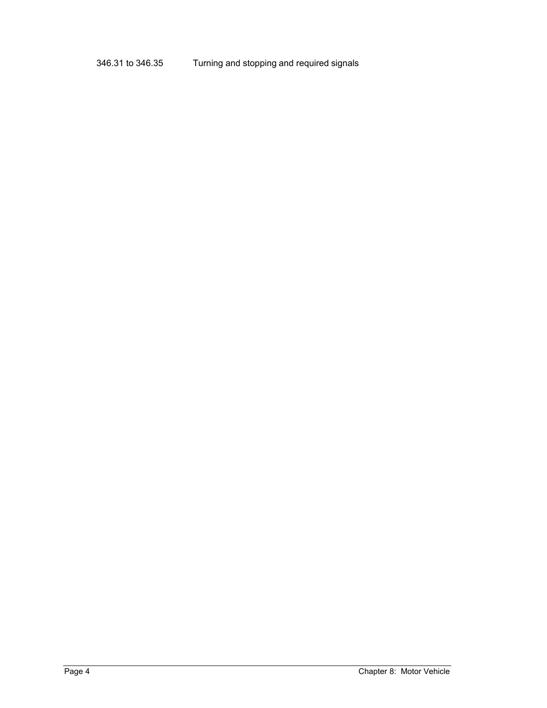346.31 to 346.35 Turning and stopping and required signals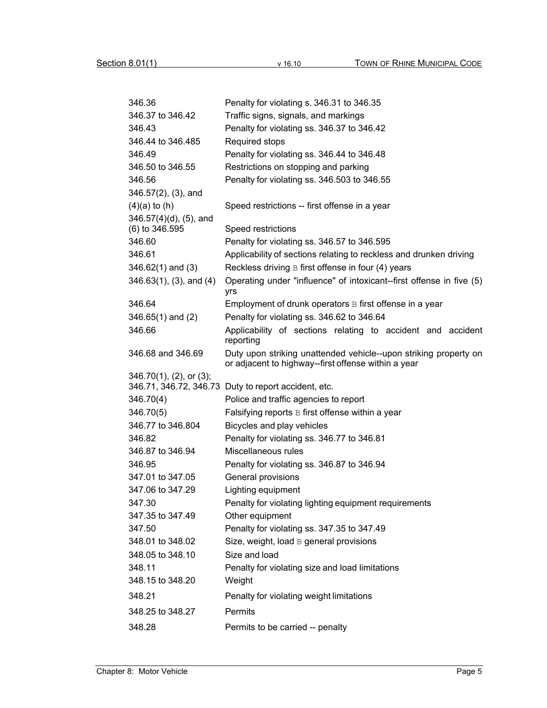| 346.36                                                     | Penalty for violating s. 346.31 to 346.35                                                                               |
|------------------------------------------------------------|-------------------------------------------------------------------------------------------------------------------------|
| 346.37 to 346.42                                           | Traffic signs, signals, and markings                                                                                    |
| 346.43                                                     | Penalty for violating ss. 346.37 to 346.42                                                                              |
| 346.44 to 346.485                                          | Required stops                                                                                                          |
| 346.49                                                     | Penalty for violating ss. 346.44 to 346.48                                                                              |
| 346.50 to 346.55                                           | Restrictions on stopping and parking                                                                                    |
| 346.56                                                     | Penalty for violating ss. 346.503 to 346.55                                                                             |
| 346.57(2), (3), and                                        |                                                                                                                         |
| $(4)(a)$ to $(h)$                                          | Speed restrictions -- first offense in a year                                                                           |
| $346.57(4)(d)$ , $(5)$ , and<br>$(6)$ to 346.595           | Speed restrictions                                                                                                      |
| 346.60                                                     | Penalty for violating ss. 346.57 to 346.595                                                                             |
| 346.61                                                     | Applicability of sections relating to reckless and drunken driving                                                      |
| $346.62(1)$ and $(3)$                                      | Reckless driving $B$ first offense in four (4) years                                                                    |
| $346.63(1)$ , $(3)$ , and $(4)$                            | Operating under "influence" of intoxicant--first offense in five (5)<br>yrs                                             |
| 346.64                                                     | Employment of drunk operators $B$ first offense in a year                                                               |
| $346.65(1)$ and $(2)$                                      | Penalty for violating ss. 346.62 to 346.64                                                                              |
| 346.66                                                     | Applicability of sections relating to accident and accident<br>reporting                                                |
| 346.68 and 346.69                                          | Duty upon striking unattended vehicle--upon striking property on<br>or adjacent to highway--first offense within a year |
| $346.70(1)$ , $(2)$ , or $(3)$ ;<br>346.71, 346.72, 346.73 | Duty to report accident, etc.                                                                                           |
| 346.70(4)                                                  | Police and traffic agencies to report                                                                                   |
| 346.70(5)                                                  | Falsifying reports B first offense within a year                                                                        |
| 346.77 to 346.804                                          | Bicycles and play vehicles                                                                                              |
| 346.82                                                     | Penalty for violating ss. 346.77 to 346.81                                                                              |
| 346.87 to 346.94                                           | Miscellaneous rules                                                                                                     |
| 346.95                                                     | Penalty for violating ss. 346.87 to 346.94                                                                              |
| 347.01 to 347.05                                           | General provisions                                                                                                      |
| 347.06 to 347.29                                           | Lighting equipment                                                                                                      |
| 347.30                                                     | Penalty for violating lighting equipment requirements                                                                   |
| 347.35 to 347.49                                           | Other equipment                                                                                                         |
| 347.50                                                     | Penalty for violating ss. 347.35 to 347.49                                                                              |
| 348.01 to 348.02                                           | Size, weight, load B general provisions                                                                                 |
| 348.05 to 348.10                                           | Size and load                                                                                                           |
| 348.11                                                     | Penalty for violating size and load limitations                                                                         |
| 348.15 to 348.20                                           | Weight                                                                                                                  |
| 348.21                                                     | Penalty for violating weight limitations                                                                                |
| 348.25 to 348.27                                           | Permits                                                                                                                 |
| 348.28                                                     | Permits to be carried -- penalty                                                                                        |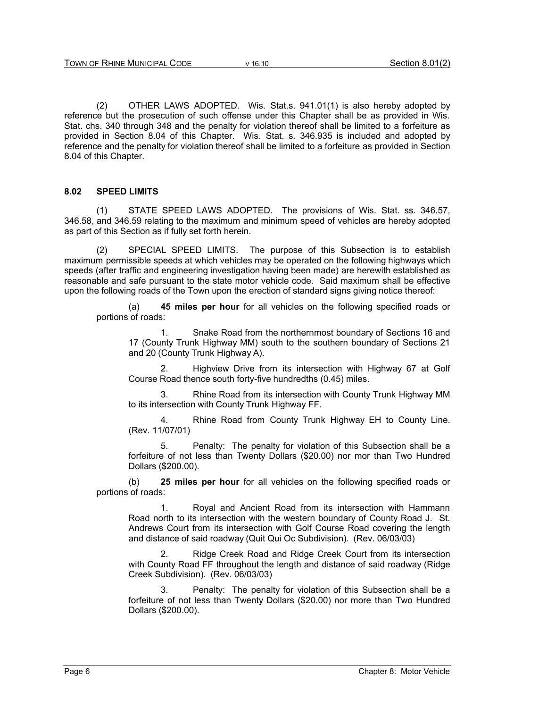(2) OTHER LAWS ADOPTED. Wis. Stat.s. 941.01(1) is also hereby adopted by reference but the prosecution of such offense under this Chapter shall be as provided in Wis. Stat. chs. 340 through 348 and the penalty for violation thereof shall be limited to a forfeiture as provided in Section 8.04 of this Chapter. Wis. Stat. s. 346.935 is included and adopted by reference and the penalty for violation thereof shall be limited to a forfeiture as provided in Section 8.04 of this Chapter.

#### **8.02 SPEED LIMITS**

(1) STATE SPEED LAWS ADOPTED. The provisions of Wis. Stat. ss. 346.57, 346.58, and 346.59 relating to the maximum and minimum speed of vehicles are hereby adopted as part of this Section as if fully set forth herein.

(2) SPECIAL SPEED LIMITS. The purpose of this Subsection is to establish maximum permissible speeds at which vehicles may be operated on the following highways which speeds (after traffic and engineering investigation having been made) are herewith established as reasonable and safe pursuant to the state motor vehicle code. Said maximum shall be effective upon the following roads of the Town upon the erection of standard signs giving notice thereof:

(a) **45 miles per hour** for all vehicles on the following specified roads or portions of roads:

1. Snake Road from the northernmost boundary of Sections 16 and 17 (County Trunk Highway MM) south to the southern boundary of Sections 21 and 20 (County Trunk Highway A).

2. Highview Drive from its intersection with Highway 67 at Golf Course Road thence south forty-five hundredths (0.45) miles.

3. Rhine Road from its intersection with County Trunk Highway MM to its intersection with County Trunk Highway FF.

4. Rhine Road from County Trunk Highway EH to County Line. (Rev. 11/07/01)

5. Penalty: The penalty for violation of this Subsection shall be a forfeiture of not less than Twenty Dollars (\$20.00) nor mor than Two Hundred Dollars (\$200.00).

(b) **25 miles per hour** for all vehicles on the following specified roads or portions of roads:

1. Royal and Ancient Road from its intersection with Hammann Road north to its intersection with the western boundary of County Road J. St. Andrews Court from its intersection with Golf Course Road covering the length and distance of said roadway (Quit Qui Oc Subdivision). (Rev. 06/03/03)

2. Ridge Creek Road and Ridge Creek Court from its intersection with County Road FF throughout the length and distance of said roadway (Ridge Creek Subdivision). (Rev. 06/03/03)

3. Penalty: The penalty for violation of this Subsection shall be a forfeiture of not less than Twenty Dollars (\$20.00) nor more than Two Hundred Dollars (\$200.00).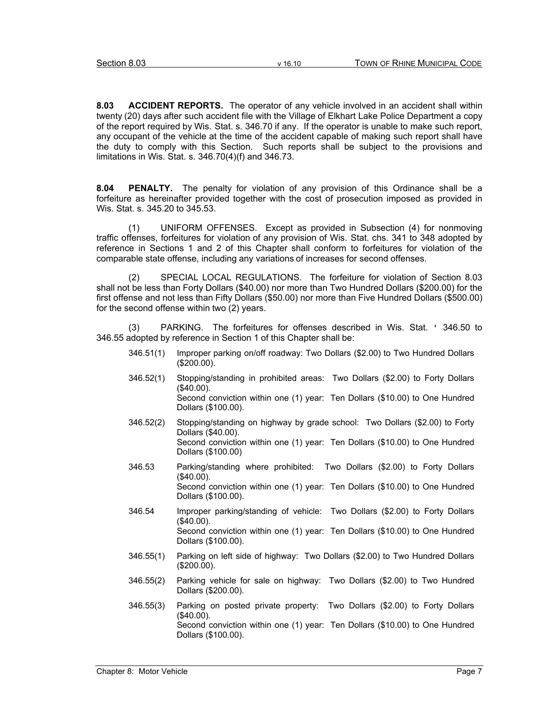**8.03 ACCIDENT REPORTS.** The operator of any vehicle involved in an accident shall within twenty (20) days after such accident file with the Village of Elkhart Lake Police Department a copy of the report required by Wis. Stat. s. 346.70 if any. If the operator is unable to make such report, any occupant of the vehicle at the time of the accident capable of making such report shall have the duty to comply with this Section. Such reports shall be subject to the provisions and limitations in Wis. Stat. s. 346.70(4)(f) and 346.73.

**8.04 PENALTY.** The penalty for violation of any provision of this Ordinance shall be a forfeiture as hereinafter provided together with the cost of prosecution imposed as provided in Wis. Stat. s. 345.20 to 345.53.

(1) UNIFORM OFFENSES. Except as provided in Subsection (4) for nonmoving traffic offenses, forfeitures for violation of any provision of Wis. Stat. chs. 341 to 348 adopted by reference in Sections 1 and 2 of this Chapter shall conform to forfeitures for violation of the comparable state offense, including any variations of increases for second offenses.

SPECIAL LOCAL REGULATIONS. The forfeiture for violation of Section 8.03 shall not be less than Forty Dollars (\$40.00) nor more than Two Hundred Dollars (\$200.00) for the first offense and not less than Fifty Dollars (\$50.00) nor more than Five Hundred Dollars (\$500.00) for the second offense within two (2) years.

(3) PARKING. The forfeitures for offenses described in Wis. Stat. ' 346.50 to 346.55 adopted by reference in Section 1 of this Chapter shall be:

- 346.51(1) Improper parking on/off roadway: Two Dollars (\$2.00) to Two Hundred Dollars (\$200.00).
- 346.52(1) Stopping/standing in prohibited areas: Two Dollars (\$2.00) to Forty Dollars (\$40.00). Second conviction within one (1) year: Ten Dollars (\$10.00) to One Hundred Dollars (\$100.00).
- 346.52(2) Stopping/standing on highway by grade school: Two Dollars (\$2.00) to Forty Dollars (\$40.00). Second conviction within one (1) year: Ten Dollars (\$10.00) to One Hundred Dollars (\$100.00)
- 346.53 Parking/standing where prohibited: Two Dollars (\$2.00) to Forty Dollars (\$40.00). Second conviction within one (1) year: Ten Dollars (\$10.00) to One Hundred Dollars (\$100.00).
- 346.54 Improper parking/standing of vehicle: Two Dollars (\$2.00) to Forty Dollars (\$40.00). Second conviction within one (1) year: Ten Dollars (\$10.00) to One Hundred Dollars (\$100.00).
- 346.55(1) Parking on left side of highway: Two Dollars (\$2.00) to Two Hundred Dollars (\$200.00).
- 346.55(2) Parking vehicle for sale on highway: Two Dollars (\$2.00) to Two Hundred Dollars (\$200.00).
- 346.55(3) Parking on posted private property: Two Dollars (\$2.00) to Forty Dollars (\$40.00). Second conviction within one (1) year: Ten Dollars (\$10.00) to One Hundred Dollars (\$100.00).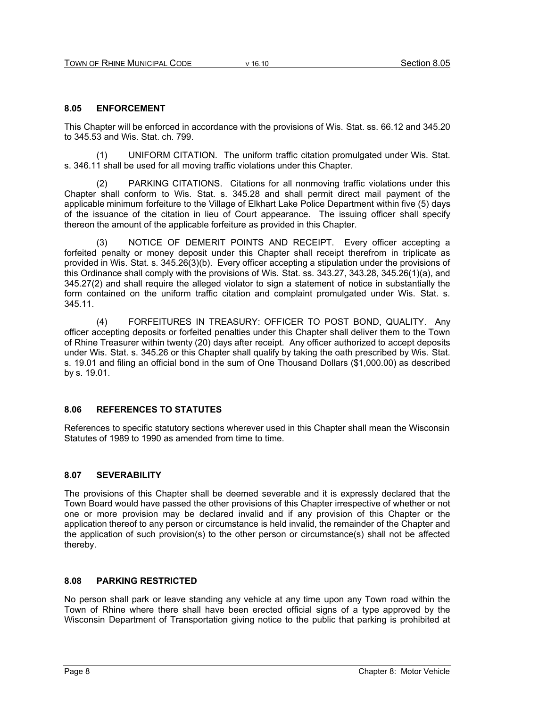#### **8.05 ENFORCEMENT**

This Chapter will be enforced in accordance with the provisions of Wis. Stat. ss. 66.12 and 345.20 to 345.53 and Wis. Stat. ch. 799.

(1) UNIFORM CITATION. The uniform traffic citation promulgated under Wis. Stat. s. 346.11 shall be used for all moving traffic violations under this Chapter.

(2) PARKING CITATIONS. Citations for all nonmoving traffic violations under this Chapter shall conform to Wis. Stat. s. 345.28 and shall permit direct mail payment of the applicable minimum forfeiture to the Village of Elkhart Lake Police Department within five (5) days of the issuance of the citation in lieu of Court appearance. The issuing officer shall specify thereon the amount of the applicable forfeiture as provided in this Chapter.

NOTICE OF DEMERIT POINTS AND RECEIPT. Every officer accepting a forfeited penalty or money deposit under this Chapter shall receipt therefrom in triplicate as provided in Wis. Stat. s. 345.26(3)(b). Every officer accepting a stipulation under the provisions of this Ordinance shall comply with the provisions of Wis. Stat. ss. 343.27, 343.28, 345.26(1)(a), and 345.27(2) and shall require the alleged violator to sign a statement of notice in substantially the form contained on the uniform traffic citation and complaint promulgated under Wis. Stat. s. 345.11.

(4) FORFEITURES IN TREASURY: OFFICER TO POST BOND, QUALITY. Any officer accepting deposits or forfeited penalties under this Chapter shall deliver them to the Town of Rhine Treasurer within twenty (20) days after receipt. Any officer authorized to accept deposits under Wis. Stat. s. 345.26 or this Chapter shall qualify by taking the oath prescribed by Wis. Stat. s. 19.01 and filing an official bond in the sum of One Thousand Dollars (\$1,000.00) as described by s. 19.01.

### **8.06 REFERENCES TO STATUTES**

References to specific statutory sections wherever used in this Chapter shall mean the Wisconsin Statutes of 1989 to 1990 as amended from time to time.

#### **8.07 SEVERABILITY**

The provisions of this Chapter shall be deemed severable and it is expressly declared that the Town Board would have passed the other provisions of this Chapter irrespective of whether or not one or more provision may be declared invalid and if any provision of this Chapter or the application thereof to any person or circumstance is held invalid, the remainder of the Chapter and the application of such provision(s) to the other person or circumstance(s) shall not be affected thereby.

## **8.08 PARKING RESTRICTED**

No person shall park or leave standing any vehicle at any time upon any Town road within the Town of Rhine where there shall have been erected official signs of a type approved by the Wisconsin Department of Transportation giving notice to the public that parking is prohibited at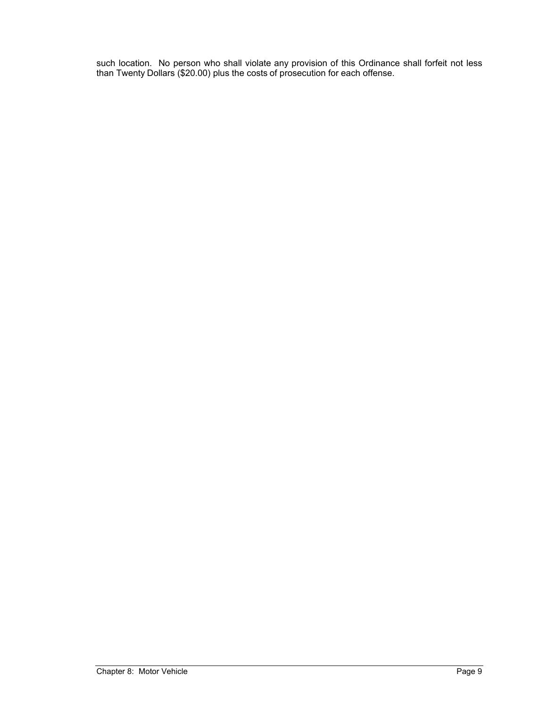such location. No person who shall violate any provision of this Ordinance shall forfeit not less than Twenty Dollars (\$20.00) plus the costs of prosecution for each offense.